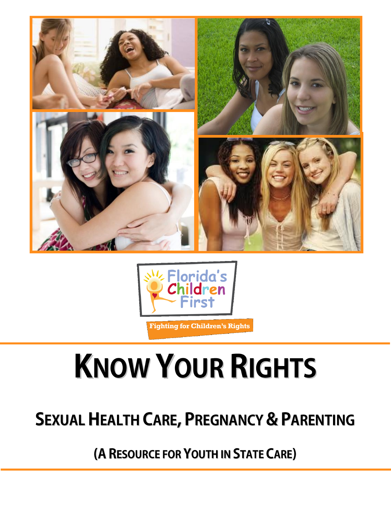



**Fighting for Children's Rights** 

# **KNOW YOUR RIGHTS**

## **SEXUAL HEALTH CARE, PREGNANCY & PARENTING**

(A RESOURCE FOR YOUTH IN STATE CARE)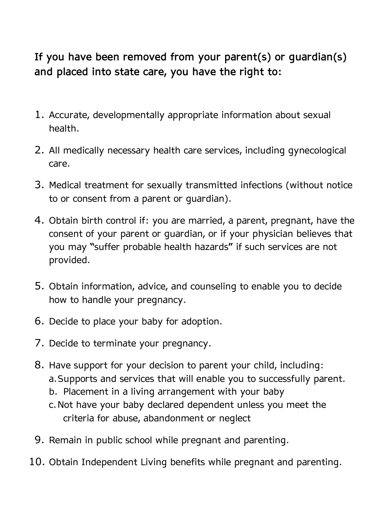**If you have been removed from your parent(s) or guardian(s) and placed into state care, you have the right to:**

- 1. Accurate, developmentally appropriate information about sexual health.
- 2. All medically necessary health care services, including gynecological care.
- 3. Medical treatment for sexually transmitted infections (without notice to or consent from a parent or guardian).
- 4. Obtain birth control if: you are married, a parent, pregnant, have the consent of your parent or guardian, or if your physician believes that you may "suffer probable health hazards" if such services are not provided.
- 5. Obtain information, advice, and counseling to enable you to decide how to handle your pregnancy.
- 6. Decide to place your baby for adoption.
- 7. Decide to terminate your pregnancy.
- 8. Have support for your decision to parent your child, including: a.Supports and services that will enable you to successfully parent.
	- b. Placement in a living arrangement with your baby
	- c.Not have your baby declared dependent unless you meet the criteria for abuse, abandonment or neglect
- 9. Remain in public school while pregnant and parenting.
- 10. Obtain Independent Living benefits while pregnant and parenting.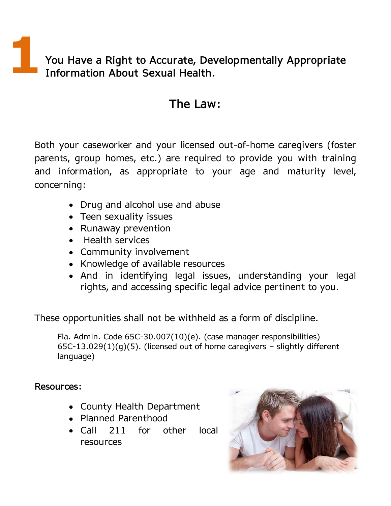**1You Have a Right to Accurate, Developmentally Appropriate Information About Sexual Health.**

#### **The Law:**

Both your caseworker and your licensed out-of-home caregivers (foster parents, group homes, etc.) are required to provide you with training and information, as appropriate to your age and maturity level, concerning:

- Drug and alcohol use and abuse
- Teen sexuality issues
- Runaway prevention
- Health services
- Community involvement
- Knowledge of available resources
- And in identifying legal issues, understanding your legal rights, and accessing specific legal advice pertinent to you.

These opportunities shall not be withheld as a form of discipline.

Fla. Admin. Code 65C-30.007(10)(e). (case manager responsibilities) 65C-13.029(1)(g)(5). (licensed out of home caregivers – slightly different language)

**Resources:**

- County Health Department
- Planned Parenthood
- Call 211 for other local resources

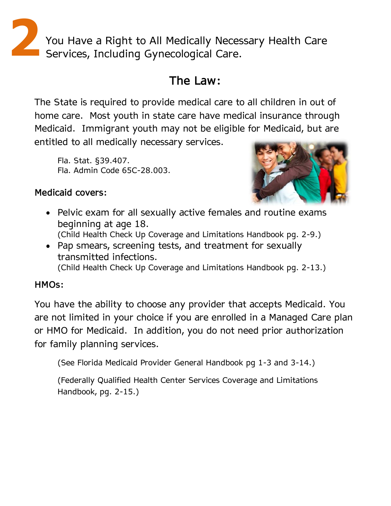**2**You Have a Right to All Medically Necessary Health Care Services, Including Gynecological Care.

#### **The Law:**

The State is required to provide medical care to all children in out of home care. Most youth in state care have medical insurance through Medicaid. Immigrant youth may not be eligible for Medicaid, but are entitled to all medically necessary services.

Fla. Stat. §39.407. Fla. Admin Code 65C-28.003.

#### **Medicaid covers:**

- Pelvic exam for all sexually active females and routine exams beginning at age 18. (Child Health Check Up Coverage and Limitations Handbook pg. 2-9.)
- Pap smears, screening tests, and treatment for sexually transmitted infections. (Child Health Check Up Coverage and Limitations Handbook pg. 2-13.)

#### **HMOs:**

You have the ability to choose any provider that accepts Medicaid. You are not limited in your choice if you are enrolled in a Managed Care plan or HMO for Medicaid. In addition, you do not need prior authorization for family planning services.

(See Florida Medicaid Provider General Handbook pg 1-3 and 3-14.)

(Federally Qualified Health Center Services Coverage and Limitations Handbook, pg. 2-15.)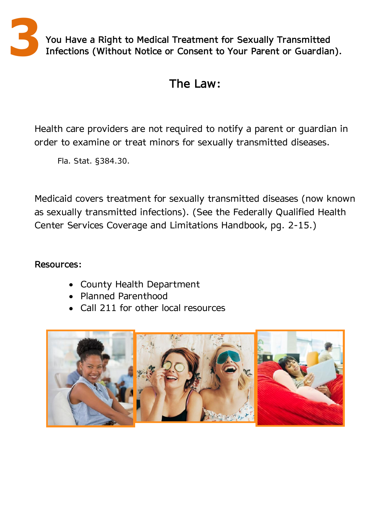

#### **The Law:**

Health care providers are not required to notify a parent or guardian in order to examine or treat minors for sexually transmitted diseases.

Fla. Stat. §384.30.

Medicaid covers treatment for sexually transmitted diseases (now known as sexually transmitted infections). (See the Federally Qualified Health Center Services Coverage and Limitations Handbook, pg. 2-15.)

#### **Resources:**

- County Health Department
- Planned Parenthood
- Call 211 for other local resources

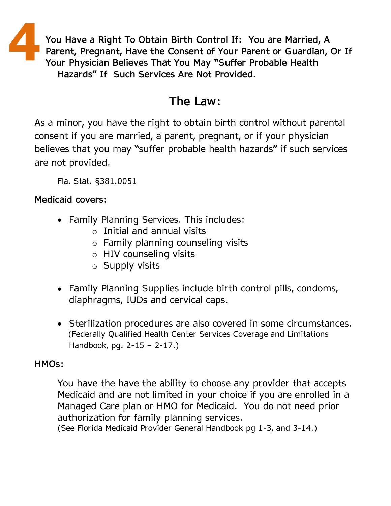**4 You Have a Right To Obtain Birth Control If: You are Married, A Parent, Pregnant, Have the Consent of Your Parent or Guardian, Or If Your Physician Believes That You May "Suffer Probable Health Hazards" If Such Services Are Not Provided.**

#### **The Law:**

As a minor, you have the right to obtain birth control without parental consent if you are married, a parent, pregnant, or if your physician believes that you may "suffer probable health hazards" if such services are not provided.

Fla. Stat. §381.0051

#### **Medicaid covers:**

- Family Planning Services. This includes:
	- o Initial and annual visits
	- o Family planning counseling visits
	- o HIV counseling visits
	- o Supply visits
- Family Planning Supplies include birth control pills, condoms, diaphragms, IUDs and cervical caps.
- Sterilization procedures are also covered in some circumstances. (Federally Qualified Health Center Services Coverage and Limitations Handbook, pg. 2-15 – 2-17.)

#### **HMOs:**

You have the have the ability to choose any provider that accepts Medicaid and are not limited in your choice if you are enrolled in a Managed Care plan or HMO for Medicaid. You do not need prior authorization for family planning services.

(See Florida Medicaid Provider General Handbook pg 1-3, and 3-14.)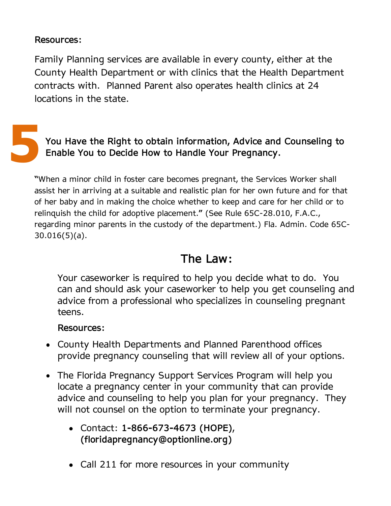#### **Resources:**

Family Planning services are available in every county, either at the County Health Department or with clinics that the Health Department contracts with. Planned Parent also operates health clinics at 24 locations in the state.



"When a minor child in foster care becomes pregnant, the Services Worker shall assist her in arriving at a suitable and realistic plan for her own future and for that of her baby and in making the choice whether to keep and care for her child or to relinquish the child for adoptive placement." (See Rule 65C-28.010, F.A.C., regarding minor parents in the custody of the department.) Fla. Admin. Code 65C-30.016(5)(a).

#### **The Law:**

Your caseworker is required to help you decide what to do. You can and should ask your caseworker to help you get counseling and advice from a professional who specializes in counseling pregnant teens.

#### **Resources:**

- County Health Departments and Planned Parenthood offices provide pregnancy counseling that will review all of your options.
- The Florida Pregnancy Support Services Program will help you locate a pregnancy center in your community that can provide advice and counseling to help you plan for your pregnancy. They will not counsel on the option to terminate your pregnancy.
	- Contact: **1-866-673-4673 (HOPE)**, **(floridapregnancy@optionline.org)**
	- Call 211 for more resources in your community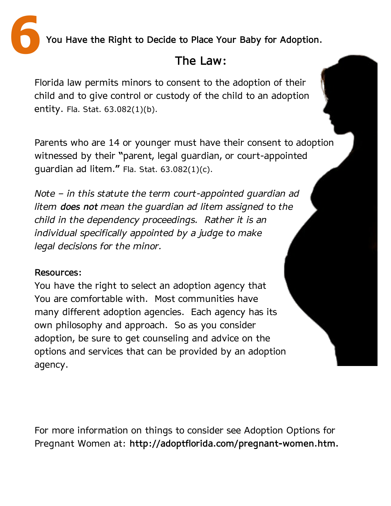**6You Have the Right to Decide to Place Your Baby for Adoption.**

## **The Law:**

Florida law permits minors to consent to the adoption of their child and to give control or custody of the child to an adoption entity. Fla. Stat. 63.082(1)(b).

Parents who are 14 or younger must have their consent to adoption witnessed by their "parent, legal guardian, or court-appointed guardian ad litem." Fla. Stat. 63.082(1)(c).

*Note – in this statute the term court-appointed guardian ad litem does not mean the guardian ad litem assigned to the child in the dependency proceedings. Rather it is an individual specifically appointed by a judge to make legal decisions for the minor.*

#### **Resources:**

You have the right to select an adoption agency that You are comfortable with. Most communities have many different adoption agencies. Each agency has its own philosophy and approach. So as you consider adoption, be sure to get counseling and advice on the options and services that can be provided by an adoption agency.

For more information on things to consider see Adoption Options for Pregnant Women at: **http://adoptflorida.com/pregnant-women.htm.**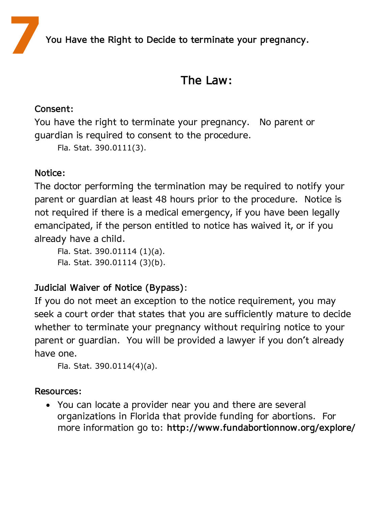**7You Have the Right to Decide to terminate your pregnancy.**

#### **The Law:**

#### **Consent:**

You have the right to terminate your pregnancy. No parent or guardian is required to consent to the procedure.

Fla. Stat. 390.0111(3).

#### **Notice:**

The doctor performing the termination may be required to notify your parent or guardian at least 48 hours prior to the procedure. Notice is not required if there is a medical emergency, if you have been legally emancipated, if the person entitled to notice has waived it, or if you already have a child.

Fla. Stat. 390.01114 (1)(a). Fla. Stat. 390.01114 (3)(b).

#### **Judicial Waiver of Notice (Bypass)**:

If you do not meet an exception to the notice requirement, you may seek a court order that states that you are sufficiently mature to decide whether to terminate your pregnancy without requiring notice to your parent or guardian. You will be provided a lawyer if you don't already have one.

```
Fla. Stat. 390.0114(4)(a).
```
#### **Resources:**

You can locate a provider near you and there are several organizations in Florida that provide funding for abortions. For more information go to: **http://www.fundabortionnow.org/explore/**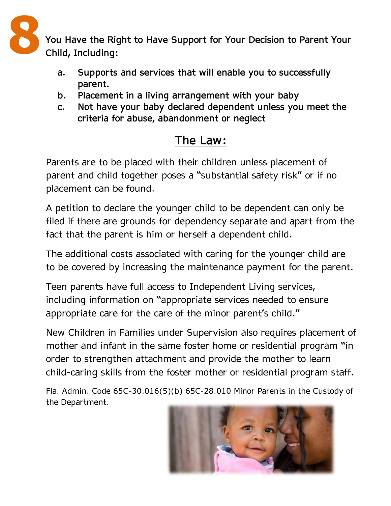

- **a. Supports and services that will enable you to successfully parent.**
- **b. Placement in a living arrangement with your baby**
- **c. Not have your baby declared dependent unless you meet the criteria for abuse, abandonment or neglect**

### **The Law:**

Parents are to be placed with their children unless placement of parent and child together poses a "substantial safety risk" or if no placement can be found.

A petition to declare the younger child to be dependent can only be filed if there are grounds for dependency separate and apart from the fact that the parent is him or herself a dependent child.

The additional costs associated with caring for the younger child are to be covered by increasing the maintenance payment for the parent.

Teen parents have full access to Independent Living services, including information on "appropriate services needed to ensure appropriate care for the care of the minor parent's child."

New Children in Families under Supervision also requires placement of mother and infant in the same foster home or residential program "in order to strengthen attachment and provide the mother to learn child-caring skills from the foster mother or residential program staff.

Fla. Admin. Code 65C-30.016(5)(b) 65C-28.010 Minor Parents in the Custody of the Department.

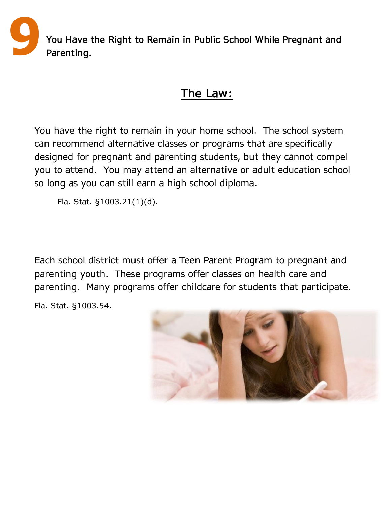**9 You Have the Right to Remain in Public School While Pregnant and Parenting.**

#### **The Law:**

**9** You have the right to remain in your home school. The school system can recommend alternative classes or programs that are specifically designed for pregnant and parenting students, but they cannot compel you to attend. You may attend an alternative or adult education school so long as you can still earn a high school diploma.

Fla. Stat. §1003.21(1)(d).

Each school district must offer a Teen Parent Program to pregnant and parenting youth. These programs offer classes on health care and parenting. Many programs offer childcare for students that participate.

Fla. Stat. §1003.54.

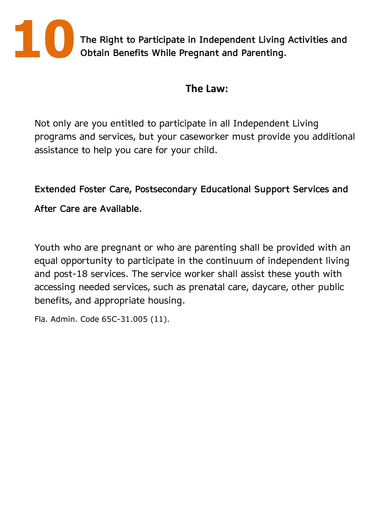

**10The Right to Participate in Independent Living Activities and Obtain Benefits While Pregnant and Parenting.**

#### **The Law:**

Not only are you entitled to participate in all Independent Living programs and services, but your caseworker must provide you additional assistance to help you care for your child.

**Extended Foster Care, Postsecondary Educational Support Services and** 

**After Care are Available.**

Youth who are pregnant or who are parenting shall be provided with an equal opportunity to participate in the continuum of independent living and post-18 services. The service worker shall assist these youth with accessing needed services, such as prenatal care, daycare, other public benefits, and appropriate housing.

Fla. Admin. Code 65C-31.005 (11).